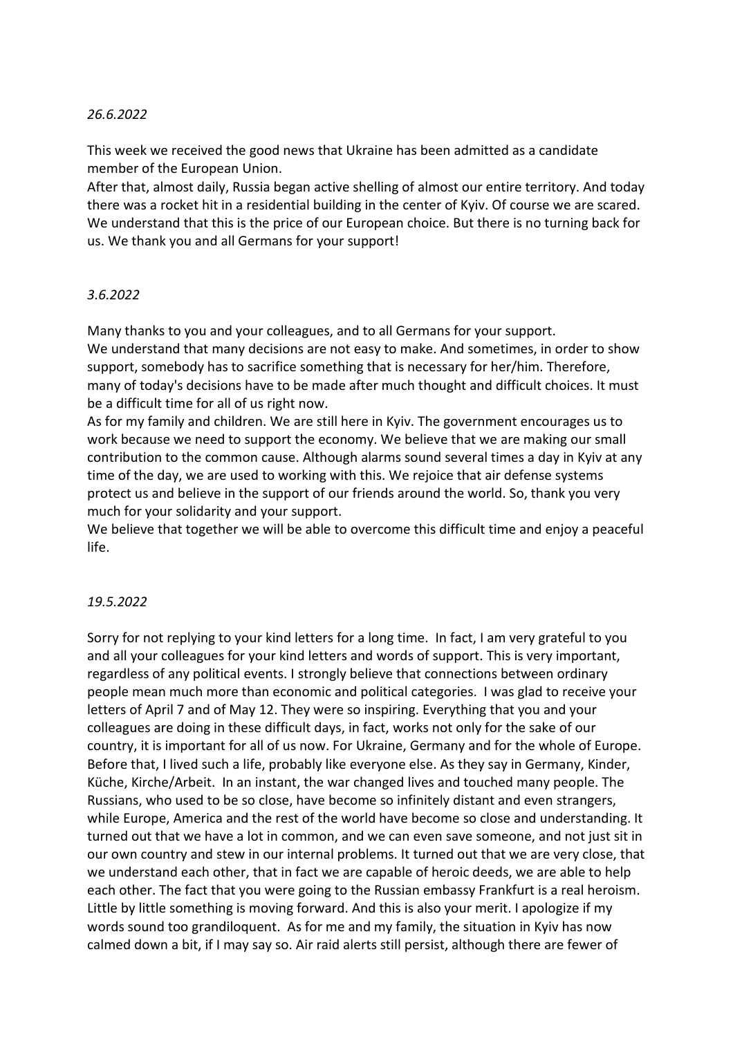## *26.6.2022*

This week we received the good news that Ukraine has been admitted as a candidate member of the European Union.

After that, almost daily, Russia began active shelling of almost our entire territory. And today there was a rocket hit in a residential building in the center of Kyiv. Of course we are scared. We understand that this is the price of our European choice. But there is no turning back for us. We thank you and all Germans for your support!

## *3.6.2022*

Many thanks to you and your colleagues, and to all Germans for your support. We understand that many decisions are not easy to make. And sometimes, in order to show support, somebody has to sacrifice something that is necessary for her/him. Therefore, many of today's decisions have to be made after much thought and difficult choices. It must be a difficult time for all of us right now.

As for my family and children. We are still here in Kyiv. The government encourages us to work because we need to support the economy. We believe that we are making our small contribution to the common cause. Although alarms sound several times a day in Kyiv at any time of the day, we are used to working with this. We rejoice that air defense systems protect us and believe in the support of our friends around the world. So, thank you very much for your solidarity and your support.

We believe that together we will be able to overcome this difficult time and enjoy a peaceful life.

#### *19.5.2022*

Sorry for not replying to your kind letters for a long time. In fact, I am very grateful to you and all your colleagues for your kind letters and words of support. This is very important, regardless of any political events. I strongly believe that connections between ordinary people mean much more than economic and political categories. I was glad to receive your letters of April 7 and of May 12. They were so inspiring. Everything that you and your colleagues are doing in these difficult days, in fact, works not only for the sake of our country, it is important for all of us now. For Ukraine, Germany and for the whole of Europe. Before that, I lived such a life, probably like everyone else. As they say in Germany, Kinder, Küche, Kirche/Arbeit. In an instant, the war changed lives and touched many people. The Russians, who used to be so close, have become so infinitely distant and even strangers, while Europe, America and the rest of the world have become so close and understanding. It turned out that we have a lot in common, and we can even save someone, and not just sit in our own country and stew in our internal problems. It turned out that we are very close, that we understand each other, that in fact we are capable of heroic deeds, we are able to help each other. The fact that you were going to the Russian embassy Frankfurt is a real heroism. Little by little something is moving forward. And this is also your merit. I apologize if my words sound too grandiloquent. As for me and my family, the situation in Kyiv has now calmed down a bit, if I may say so. Air raid alerts still persist, although there are fewer of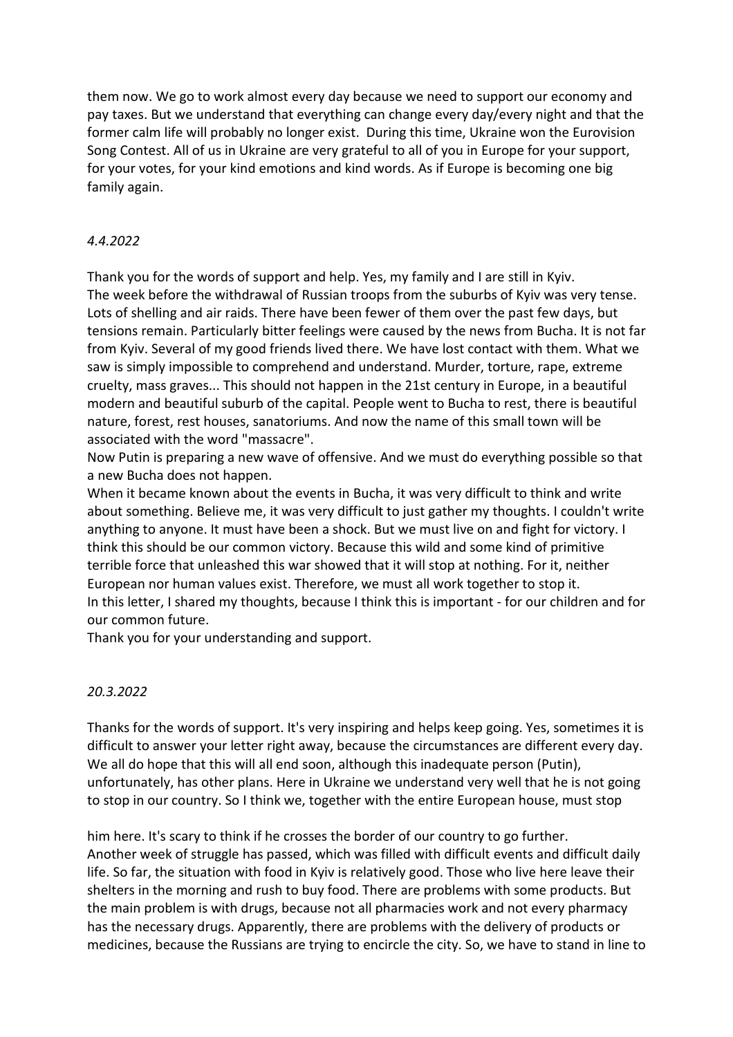them now. We go to work almost every day because we need to support our economy and pay taxes. But we understand that everything can change every day/every night and that the former calm life will probably no longer exist. During this time, Ukraine won the Eurovision Song Contest. All of us in Ukraine are very grateful to all of you in Europe for your support, for your votes, for your kind emotions and kind words. As if Europe is becoming one big family again.

# *4.4.2022*

Thank you for the words of support and help. Yes, my family and I are still in Kyiv. The week before the withdrawal of Russian troops from the suburbs of Kyiv was very tense. Lots of shelling and air raids. There have been fewer of them over the past few days, but tensions remain. Particularly bitter feelings were caused by the news from Bucha. It is not far from Kyiv. Several of my good friends lived there. We have lost contact with them. What we saw is simply impossible to comprehend and understand. Murder, torture, rape, extreme cruelty, mass graves... This should not happen in the 21st century in Europe, in a beautiful modern and beautiful suburb of the capital. People went to Bucha to rest, there is beautiful nature, forest, rest houses, sanatoriums. And now the name of this small town will be associated with the word "massacre".

Now Putin is preparing a new wave of offensive. And we must do everything possible so that a new Bucha does not happen.

When it became known about the events in Bucha, it was very difficult to think and write about something. Believe me, it was very difficult to just gather my thoughts. I couldn't write anything to anyone. It must have been a shock. But we must live on and fight for victory. I think this should be our common victory. Because this wild and some kind of primitive terrible force that unleashed this war showed that it will stop at nothing. For it, neither European nor human values exist. Therefore, we must all work together to stop it. In this letter, I shared my thoughts, because I think this is important - for our children and for our common future.

Thank you for your understanding and support.

# *20.3.2022*

Thanks for the words of support. It's very inspiring and helps keep going. Yes, sometimes it is difficult to answer your letter right away, because the circumstances are different every day. We all do hope that this will all end soon, although this inadequate person (Putin), unfortunately, has other plans. Here in Ukraine we understand very well that he is not going to stop in our country. So I think we, together with the entire European house, must stop

him here. It's scary to think if he crosses the border of our country to go further. Another week of struggle has passed, which was filled with difficult events and difficult daily life. So far, the situation with food in Kyiv is relatively good. Those who live here leave their shelters in the morning and rush to buy food. There are problems with some products. But the main problem is with drugs, because not all pharmacies work and not every pharmacy has the necessary drugs. Apparently, there are problems with the delivery of products or medicines, because the Russians are trying to encircle the city. So, we have to stand in line to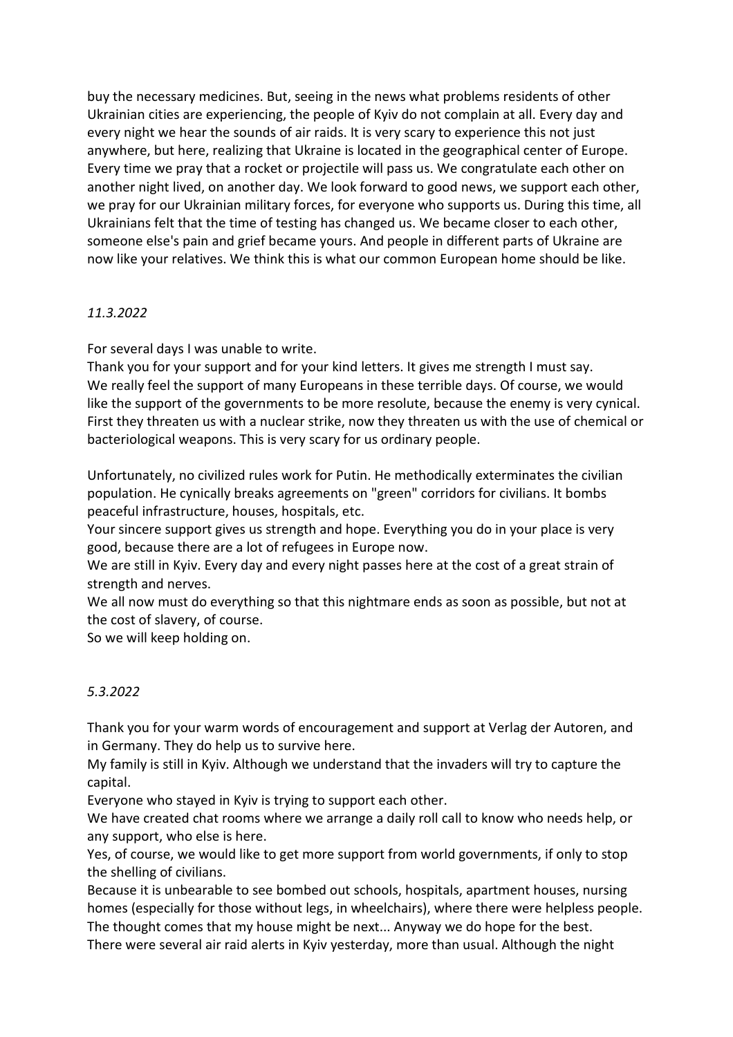buy the necessary medicines. But, seeing in the news what problems residents of other Ukrainian cities are experiencing, the people of Kyiv do not complain at all. Every day and every night we hear the sounds of air raids. It is very scary to experience this not just anywhere, but here, realizing that Ukraine is located in the geographical center of Europe. Every time we pray that a rocket or projectile will pass us. We congratulate each other on another night lived, on another day. We look forward to good news, we support each other, we pray for our Ukrainian military forces, for everyone who supports us. During this time, all Ukrainians felt that the time of testing has changed us. We became closer to each other, someone else's pain and grief became yours. And people in different parts of Ukraine are now like your relatives. We think this is what our common European home should be like.

# *11.3.2022*

For several days I was unable to write.

Thank you for your support and for your kind letters. It gives me strength I must say. We really feel the support of many Europeans in these terrible days. Of course, we would like the support of the governments to be more resolute, because the enemy is very cynical. First they threaten us with a nuclear strike, now they threaten us with the use of chemical or bacteriological weapons. This is very scary for us ordinary people.

Unfortunately, no civilized rules work for Putin. He methodically exterminates the civilian population. He cynically breaks agreements on "green" corridors for civilians. It bombs peaceful infrastructure, houses, hospitals, etc.

Your sincere support gives us strength and hope. Everything you do in your place is very good, because there are a lot of refugees in Europe now.

We are still in Kyiv. Every day and every night passes here at the cost of a great strain of strength and nerves.

We all now must do everything so that this nightmare ends as soon as possible, but not at the cost of slavery, of course.

So we will keep holding on.

# *5.3.2022*

Thank you for your warm words of encouragement and support at Verlag der Autoren, and in Germany. They do help us to survive here.

My family is still in Kyiv. Although we understand that the invaders will try to capture the capital.

Everyone who stayed in Kyiv is trying to support each other.

We have created chat rooms where we arrange a daily roll call to know who needs help, or any support, who else is here.

Yes, of course, we would like to get more support from world governments, if only to stop the shelling of civilians.

Because it is unbearable to see bombed out schools, hospitals, apartment houses, nursing homes (especially for those without legs, in wheelchairs), where there were helpless people. The thought comes that my house might be next... Anyway we do hope for the best. There were several air raid alerts in Kyiv yesterday, more than usual. Although the night